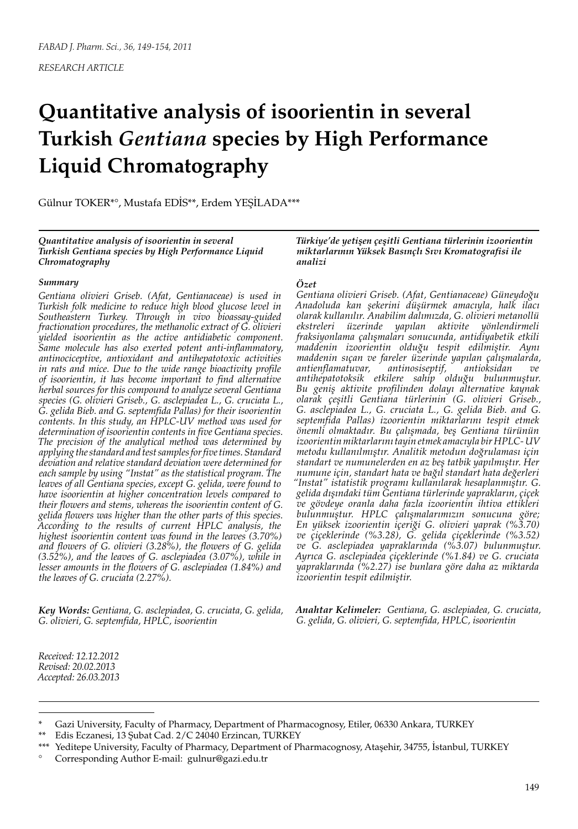*RESEARCH ARTICLE*

# **Quantitative analysis of isoorientin in several Turkish** *Gentiana* **species by High Performance Liquid Chromatography**

Gülnur TOKER\*°, Mustafa EDİS\*\*, Erdem YEŞİLADA\*\*\*

*Quantitative analysis of isoorientin in several Turkish Gentiana species by High Performance Liquid Chromatography*

### *Summary*

*Gentiana olivieri Griseb. (Afat, Gentianaceae) is used in Turkish folk medicine to reduce high blood glucose level in Southeastern Turkey. Through in vivo bioassay-guided fractionation procedures, the methanolic extract of G. olivieri yielded isoorientin as the active antidiabetic component. Same molecule has also exerted potent anti-inflammatory, antinociceptive, antioxidant and antihepatotoxic activities in rats and mice. Due to the wide range bioactivity profile of isoorientin, it has become important to find alternative herbal sources for this compound to analyze several Gentiana species (G. olivieri Griseb., G. asclepiadea L., G. cruciata L., G. gelida Bieb. and G. septemfida Pallas) for their isoorientin contents. In this study, an HPLC-UV method was used for determination of isoorientin contents in five Gentiana species. The precision of the analytical method was determined by applying the standard and test samples for five times. Standard deviation and relative standard deviation were determined for each sample by using "Instat" as the statistical program. The leaves of all Gentiana species, except G. gelida, were found to have isoorientin at higher concentration levels compared to their flowers and stems, whereas the isoorientin content of G. gelida flowers was higher than the other parts of this species. According to the results of current HPLC analysis, the highest isoorientin content was found in the leaves (3.70%) and flowers of G. olivieri (3.28%), the flowers of G. gelida (3.52%), and the leaves of G. asclepiadea (3.07%), while in lesser amounts in the flowers of G. asclepiadea (1.84%) and the leaves of G. cruciata (2.27%).*

*Key Words: Gentiana, G. asclepiadea, G. cruciata, G. gelida, G. olivieri, G. septemfida, HPLC, isoorientin*

*Türkiye'de yetişen çeşitli Gentiana türlerinin izoorientin miktarlarının Yüksek Basınçlı Sıvı Kromatografisi ile analizi*

## *Özet*

*Gentiana olivieri Griseb. (Afat, Gentianaceae) Güneydoğu Anadoluda kan şekerini düşürmek amacıyla, halk ilacı olarak kullanılır. Anabilim dalımızda, G. olivieri metanollü ekstreleri üzerinde yapılan aktivite yönlendirmeli fraksiyonlama çalışmaları sonucunda, antidiyabetik etkili maddenin izoorientin olduğu tespit edilmiştir. Aynı maddenin sıçan ve fareler üzerinde yapılan çalışmalarda, antienflamatuvar, antinosiseptif, antioksidan ve antihepatotoksik etkilere sahip olduğu bulunmuştur. Bu geniş aktivite profilinden dolayı alternative kaynak olarak çeşitli Gentiana türlerinin (G. olivieri Griseb., G. asclepiadea L., G. cruciata L., G. gelida Bieb. and G. septemfida Pallas) izoorientin miktarlarını tespit etmek önemli olmaktadır. Bu çalışmada, beş Gentiana türünün izoorientin miktarlarını tayin etmek amacıyla bir HPLC- UV metodu kullanılmıştır. Analitik metodun doğrulaması için standart ve numunelerden en az beş tatbik yapılmıştır. Her numune için, standart hata ve bağıl standart hata değerleri "Instat" istatistik programı kullanılarak hesaplanmıştır. G. gelida dışındaki tüm Gentiana türlerinde yaprakların, çiçek ve gövdeye oranla daha fazla izoorientin ihtiva ettikleri bulunmuştur. HPLC çalışmalarımızın sonucuna göre; En yüksek izoorientin içeriği G. olivieri yaprak (%3.70) ve çiçeklerinde (%3.28), G. gelida çiçeklerinde (%3.52) ve G. asclepiadea yapraklarında (%3.07) bulunmuştur. Ayrıca G. asclepiadea çiçeklerinde (%1.84) ve G. cruciata yapraklarında (%2.27) ise bunlara göre daha az miktarda izoorientin tespit edilmiştir.*

*Anahtar Kelimeler: Gentiana, G. asclepiadea, G. cruciata, G. gelida, G. olivieri, G. septemfida, HPLC, isoorientin*

*Received: 12.12.2012 Revised: 20.02.2013 Accepted: 26.03.2013*

Gazi University, Faculty of Pharmacy, Department of Pharmacognosy, Etiler, 06330 Ankara, TURKEY

Edis Eczanesi, 13 Şubat Cad. 2/C 24040 Erzincan, TURKEY

<sup>\*\*\*</sup> Yeditepe University, Faculty of Pharmacy, Department of Pharmacognosy, Ataşehir, 34755, İstanbul, TURKEY ° Corresponding Author E-mail: gulnur@gazi.edu.tr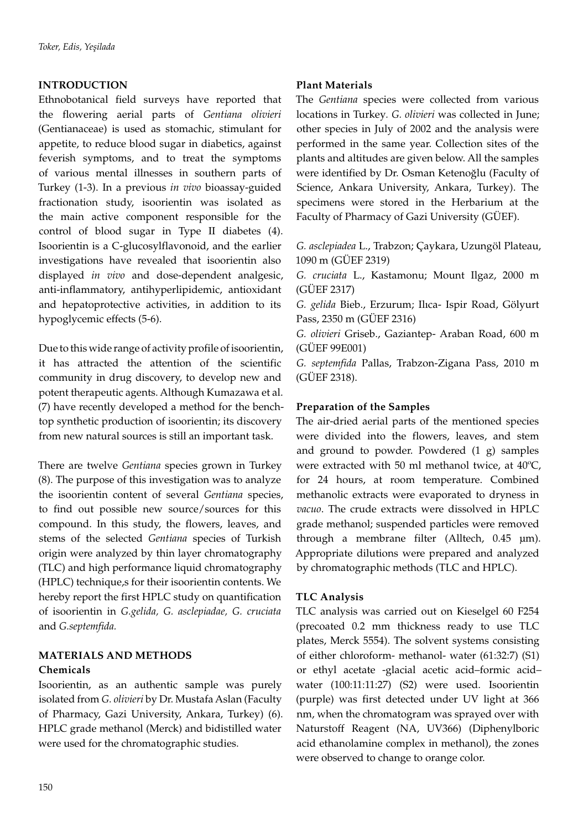# **INTRODUCTION**

Ethnobotanical field surveys have reported that the flowering aerial parts of *Gentiana olivieri*  (Gentianaceae) is used as stomachic, stimulant for appetite, to reduce blood sugar in diabetics, against feverish symptoms, and to treat the symptoms of various mental illnesses in southern parts of Turkey (1-3). In a previous *in vivo* bioassay-guided fractionation study, isoorientin was isolated as the main active component responsible for the control of blood sugar in Type II diabetes (4). Isoorientin is a C-glucosylflavonoid, and the earlier investigations have revealed that isoorientin also displayed *in vivo* and dose-dependent analgesic, anti-inflammatory, antihyperlipidemic, antioxidant and hepatoprotective activities, in addition to its hypoglycemic effects (5-6).

Due to this wide range of activity profile of isoorientin, it has attracted the attention of the scientific community in drug discovery, to develop new and potent therapeutic agents. Although Kumazawa et al. (7) have recently developed a method for the benchtop synthetic production of isoorientin; its discovery from new natural sources is still an important task.

There are twelve *Gentiana* species grown in Turkey (8). The purpose of this investigation was to analyze the isoorientin content of several *Gentiana* species, to find out possible new source/sources for this compound. In this study, the flowers, leaves, and stems of the selected *Gentiana* species of Turkish origin were analyzed by thin layer chromatography (TLC) and high performance liquid chromatography (HPLC) technique,s for their isoorientin contents. We hereby report the first HPLC study on quantification of isoorientin in *G.gelida, G. asclepiadae, G. cruciata*  and *G.septemfida.*

# **MATERIALS AND METHODS Chemicals**

Isoorientin, as an authentic sample was purely isolated from *G. olivieri* by Dr. Mustafa Aslan (Faculty of Pharmacy, Gazi University, Ankara, Turkey) (6). HPLC grade methanol (Merck) and bidistilled water were used for the chromatographic studies.

# **Plant Materials**

The *Gentiana* species were collected from various locations in Turkey*. G. olivieri* was collected in June; other species in July of 2002 and the analysis were performed in the same year. Collection sites of the plants and altitudes are given below. All the samples were identified by Dr. Osman Ketenoğlu (Faculty of Science, Ankara University, Ankara, Turkey). The specimens were stored in the Herbarium at the Faculty of Pharmacy of Gazi University (GÜEF).

*G. asclepiadea* L., Trabzon; Çaykara, Uzungöl Plateau, 1090 m (GÜEF 2319)

*G. cruciata* L., Kastamonu; Mount Ilgaz, 2000 m (GÜEF 2317)

*G. gelida* Bieb., Erzurum; Ilıca- Ispir Road, Gölyurt Pass, 2350 m (GÜEF 2316)

*G. olivieri* Griseb., Gaziantep- Araban Road, 600 m (GÜEF 99E001)

*G. septemfida* Pallas, Trabzon-Zigana Pass, 2010 m (GÜEF 2318).

# **Preparation of the Samples**

The air-dried aerial parts of the mentioned species were divided into the flowers, leaves, and stem and ground to powder. Powdered (1 g) samples were extracted with 50 ml methanol twice, at 40ºC, for 24 hours, at room temperature. Combined methanolic extracts were evaporated to dryness in *vacuo*. The crude extracts were dissolved in HPLC grade methanol; suspended particles were removed through a membrane filter (Alltech, 0.45 µm). Appropriate dilutions were prepared and analyzed by chromatographic methods (TLC and HPLC).

# **TLC Analysis**

TLC analysis was carried out on Kieselgel 60 F254 (precoated 0.2 mm thickness ready to use TLC plates, Merck 5554). The solvent systems consisting of either chloroform- methanol- water (61:32:7) (S1) or ethyl acetate -glacial acetic acid–formic acid– water (100:11:11:27) (S2) were used. Isoorientin (purple) was first detected under UV light at 366 nm, when the chromatogram was sprayed over with Naturstoff Reagent (NA, UV366) (Diphenylboric acid ethanolamine complex in methanol), the zones were observed to change to orange color.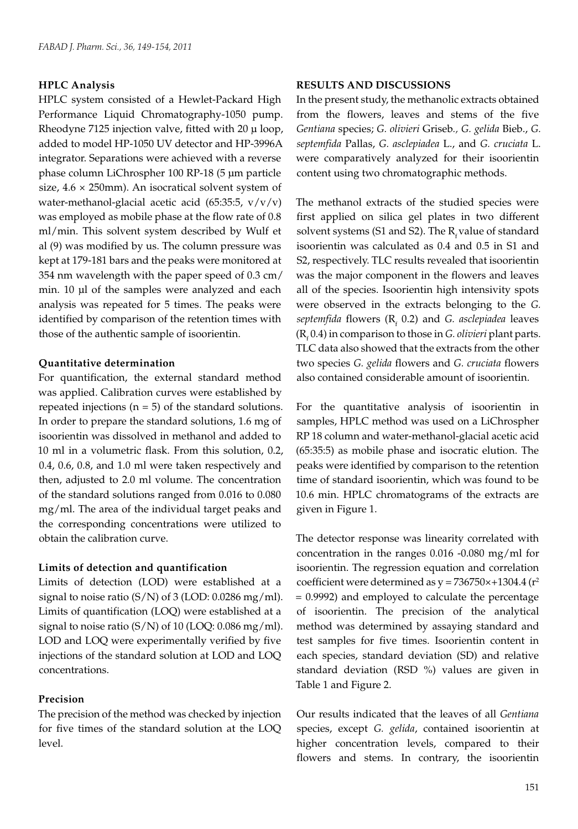## **HPLC Analysis**

HPLC system consisted of a Hewlet-Packard High Performance Liquid Chromatography-1050 pump. Rheodyne 7125 injection valve, fitted with 20 μ loop, added to model HP-1050 UV detector and HP-3996A integrator. Separations were achieved with a reverse phase column LiChrospher 100 RP-18 (5 μm particle size,  $4.6 \times 250$ mm). An isocratical solvent system of water-methanol-glacial acetic acid (65:35:5,  $v/v/v$ ) was employed as mobile phase at the flow rate of 0.8 ml/min. This solvent system described by Wulf et al (9) was modified by us. The column pressure was kept at 179-181 bars and the peaks were monitored at 354 nm wavelength with the paper speed of 0.3 cm/ min. 10 µl of the samples were analyzed and each analysis was repeated for 5 times. The peaks were identified by comparison of the retention times with those of the authentic sample of isoorientin.

## **Quantitative determination**

For quantification, the external standard method was applied. Calibration curves were established by repeated injections  $(n = 5)$  of the standard solutions. In order to prepare the standard solutions, 1.6 mg of isoorientin was dissolved in methanol and added to 10 ml in a volumetric flask. From this solution, 0.2, 0.4, 0.6, 0.8, and 1.0 ml were taken respectively and then, adjusted to 2.0 ml volume. The concentration of the standard solutions ranged from 0.016 to 0.080 mg/ml. The area of the individual target peaks and the corresponding concentrations were utilized to obtain the calibration curve.

### **Limits of detection and quantification**

Limits of detection (LOD) were established at a signal to noise ratio (S/N) of 3 (LOD: 0.0286 mg/ml). Limits of quantification (LOQ) were established at a signal to noise ratio (S/N) of 10 (LOQ: 0.086 mg/ml). LOD and LOQ were experimentally verified by five injections of the standard solution at LOD and LOQ concentrations.

## **Precision**

The precision of the method was checked by injection for five times of the standard solution at the LOQ level.

#### **RESULTS AND DISCUSSIONS**

In the present study, the methanolic extracts obtained from the flowers, leaves and stems of the five *Gentiana* species; *G. olivieri* Griseb*., G. gelida* Bieb., *G. septemfida* Pallas, *G. asclepiadea* L., and *G. cruciata* L. were comparatively analyzed for their isoorientin content using two chromatographic methods.

The methanol extracts of the studied species were first applied on silica gel plates in two different solvent systems (S1 and S2). The  $R_{i}$  value of standard isoorientin was calculated as 0.4 and 0.5 in S1 and S2, respectively. TLC results revealed that isoorientin was the major component in the flowers and leaves all of the species. Isoorientin high intensivity spots were observed in the extracts belonging to the *G.*  septemfida flowers (R<sub>f</sub> 0.2) and *G. asclepiadea* leaves  $(R<sub>f</sub> 0.4)$  in comparison to those in *G. olivieri* plant parts. TLC data also showed that the extracts from the other two species *G. gelida* flowers and *G. cruciata* flowers also contained considerable amount of isoorientin.

For the quantitative analysis of isoorientin in samples, HPLC method was used on a LiChrospher RP 18 column and water-methanol-glacial acetic acid (65:35:5) as mobile phase and isocratic elution. The peaks were identified by comparison to the retention time of standard isoorientin, which was found to be 10.6 min. HPLC chromatograms of the extracts are given in Figure 1.

The detector response was linearity correlated with concentration in the ranges 0.016 -0.080 mg/ml for isoorientin. The regression equation and correlation coefficient were determined as  $y = 736750 \times +1304.4$  ( $r^2$ = 0.9992) and employed to calculate the percentage of isoorientin. The precision of the analytical method was determined by assaying standard and test samples for five times. Isoorientin content in each species, standard deviation (SD) and relative standard deviation (RSD %) values are given in Table 1 and Figure 2.

Our results indicated that the leaves of all *Gentiana* species, except *G. gelida*, contained isoorientin at higher concentration levels, compared to their flowers and stems. In contrary, the isoorientin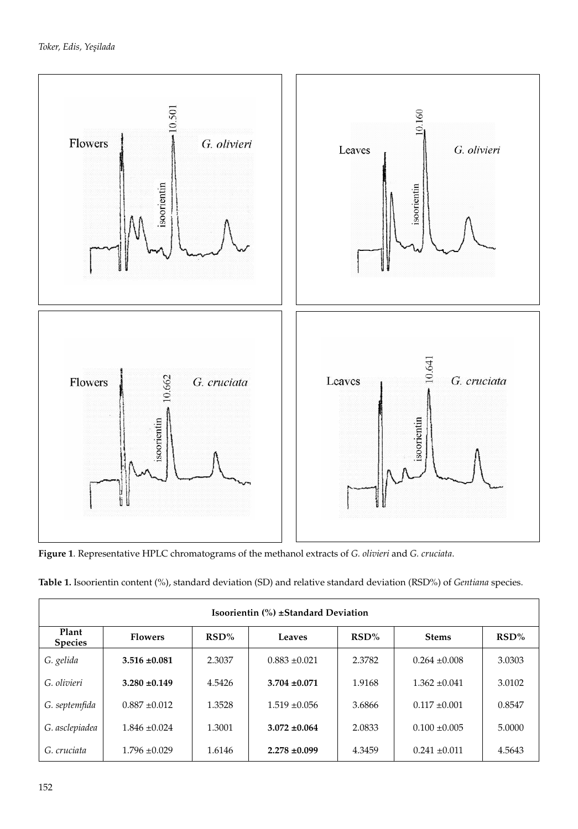

**Figure 1**. Representative HPLC chromatograms of the methanol extracts of *G. olivieri* and *G. cruciata*.

|  |  |  | Table 1. Isoorientin content (%), standard deviation (SD) and relative standard deviation (RSD%) of Gentiana species. |  |  |
|--|--|--|-----------------------------------------------------------------------------------------------------------------------|--|--|
|  |  |  |                                                                                                                       |  |  |

| Isoorientin (%) ±Standard Deviation |                   |        |                   |        |                   |        |  |  |  |  |  |
|-------------------------------------|-------------------|--------|-------------------|--------|-------------------|--------|--|--|--|--|--|
| Plant<br><b>Species</b>             | <b>Flowers</b>    | RSD%   | Leaves            | RSD%   | <b>Stems</b>      | RSD%   |  |  |  |  |  |
| G. gelida                           | $3.516 \pm 0.081$ | 2.3037 | $0.883 \pm 0.021$ | 2.3782 | $0.264 \pm 0.008$ | 3.0303 |  |  |  |  |  |
| G. olivieri                         | $3.280 \pm 0.149$ | 4.5426 | $3.704 \pm 0.071$ | 1.9168 | $1.362 \pm 0.041$ | 3.0102 |  |  |  |  |  |
| G. septemfida                       | $0.887 \pm 0.012$ | 1.3528 | $1.519 \pm 0.056$ | 3.6866 | $0.117 \pm 0.001$ | 0.8547 |  |  |  |  |  |
| G. asclepiadea                      | $1.846 \pm 0.024$ | 1.3001 | $3.072 \pm 0.064$ | 2.0833 | $0.100 \pm 0.005$ | 5.0000 |  |  |  |  |  |
| G. cruciata                         | $1.796 \pm 0.029$ | 1.6146 | $2.278 \pm 0.099$ | 4.3459 | $0.241 \pm 0.011$ | 4.5643 |  |  |  |  |  |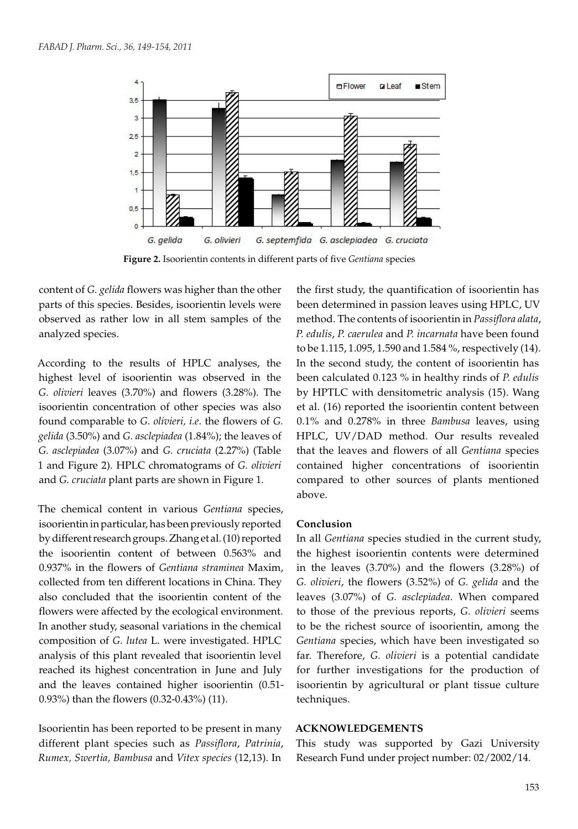

**Figure 2.** Isoorientin contents in different parts of five *Gentiana* species

content of *G. gelida* flowers was higher than the other parts of this species. Besides, isoorientin levels were observed as rather low in all stem samples of the analyzed species.

According to the results of HPLC analyses, the highest level of isoorientin was observed in the *G. olivieri* leaves (3.70%) and flowers (3.28%). The isoorientin concentration of other species was also found comparable to *G. olivieri, i.e*. the flowers of *G. gelida* (3.50%) and *G. asclepiadea* (1.84%); the leaves of *G. asclepiadea* (3.07%) and *G. cruciata* (2.27%) (Table 1 and Figure 2). HPLC chromatograms of *G. olivieri*  and *G. cruciata* plant parts are shown in Figure 1.

The chemical content in various *Gentiana* species, isoorientin in particular, has been previously reported by different research groups. Zhang et al. (10) reported the isoorientin content of between 0.563% and 0.937% in the flowers of *Gentiana straminea* Maxim, collected from ten different locations in China. They also concluded that the isoorientin content of the flowers were affected by the ecological environment. In another study, seasonal variations in the chemical composition of *G. lutea* L. were investigated. HPLC analysis of this plant revealed that isoorientin level reached its highest concentration in June and July and the leaves contained higher isoorientin (0.51- 0.93%) than the flowers (0.32-0.43%) (11).

Isoorientin has been reported to be present in many different plant species such as *Passiflora*, *Patrinia*, *Rumex, Swertia, Bambusa* and *Vitex species* (12,13). In

the first study, the quantification of isoorientin has been determined in passion leaves using HPLC, UV method. The contents of isoorientin in *Passiflora alata*, *P. edulis*, *P. caerulea* and *P. incarnata* have been found to be 1.115, 1.095, 1.590 and 1.584 %, respectively (14). In the second study, the content of isoorientin has been calculated 0.123 % in healthy rinds of *P. edulis* by HPTLC with densitometric analysis (15). Wang et al. (16) reported the isoorientin content between 0.1% and 0.278% in three *Bambusa* leaves, using HPLC, UV/DAD method. Our results revealed that the leaves and flowers of all *Gentiana* species contained higher concentrations of isoorientin compared to other sources of plants mentioned above.

### **Conclusion**

In all *Gentiana* species studied in the current study, the highest isoorientin contents were determined in the leaves (3.70%) and the flowers (3.28%) of *G. olivieri*, the flowers (3.52%) of *G. gelida* and the leaves (3.07%) of *G. asclepiadea*. When compared to those of the previous reports, *G. olivieri* seems to be the richest source of isoorientin, among the *Gentiana* species, which have been investigated so far. Therefore, *G. olivieri* is a potential candidate for further investigations for the production of isoorientin by agricultural or plant tissue culture techniques.

### **ACKNOWLEDGEMENTS**

This study was supported by Gazi University Research Fund under project number: 02/2002/14.